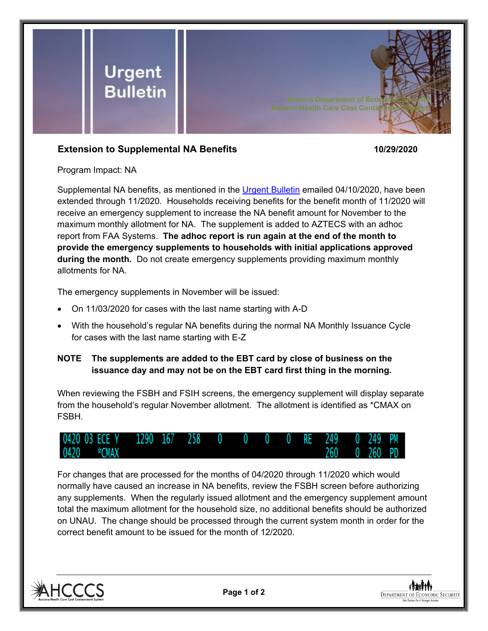

## **Extension to Supplemental NA Benefits 10/29/2020**

Program Impact: NA

Supplemental NA benefits, as mentioned in the [Urgent Bulletin](https://dbmefaapolicy.azdes.gov/FAA5/baggage/Urgent%20Bulletin%20(04-10-2020)%20-%20Supplemental%20Nutrition%20Assistance%20Benefits%20for%20Participants.pdf) emailed 04/10/2020, have been extended through 11/2020. Households receiving benefits for the benefit month of 11/2020 will receive an emergency supplement to increase the NA benefit amount for November to the maximum monthly allotment for NA. The supplement is added to AZTECS with an adhoc report from FAA Systems. **The adhoc report is run again at the end of the month to provide the emergency supplements to households with initial applications approved during the month.** Do not create emergency supplements providing maximum monthly allotments for NA.

The emergency supplements in November will be issued:

- On 11/03/2020 for cases with the last name starting with A-D
- With the household's regular NA benefits during the normal NA Monthly Issuance Cycle for cases with the last name starting with E-Z

## **NOTE The supplements are added to the EBT card by close of business on the issuance day and may not be on the EBT card first thing in the morning.**

When reviewing the FSBH and FSIH screens, the emergency supplement will display separate from the household's regular November allotment. The allotment is identified as \*CMAX on FSBH.



For changes that are processed for the months of 04/2020 through 11/2020 which would normally have caused an increase in NA benefits, review the FSBH screen before authorizing any supplements. When the regularly issued allotment and the emergency supplement amount total the maximum allotment for the household size, no additional benefits should be authorized on UNAU. The change should be processed through the current system month in order for the correct benefit amount to be issued for the month of 12/2020.



**Page 1 of 2**